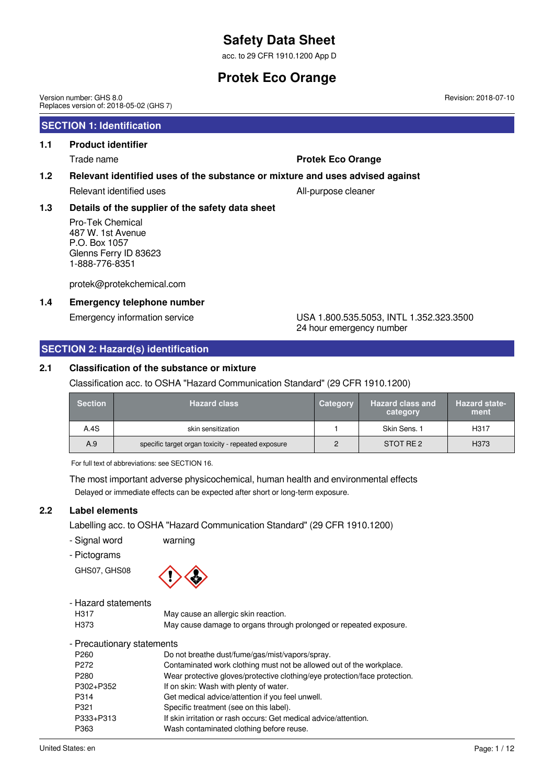acc. to 29 CFR 1910.1200 App D

## **Protek Eco Orange**

Version number: GHS 8.0 Replaces version of: 2018-05-02 (GHS 7)

## **SECTION 1: Identification**

## **1.1 Product identifier**

## Trade name **Protek Eco Orange**

### **1.2 Relevant identified uses of the substance or mixture and uses advised against**

Relevant identified uses All-purpose cleaner

### **1.3 Details of the supplier of the safety data sheet**

Pro-Tek Chemical 487 W. 1st Avenue P.O. Box 1057 Glenns Ferry ID 83623 1-888-776-8351

protek@protekchemical.com

### **1.4 Emergency telephone number**

Emergency information service USA 1.800.535.5053, INTL 1.352.323.3500 24 hour emergency number

## **SECTION 2: Hazard(s) identification**

### **2.1 Classification of the substance or mixture**

Classification acc. to OSHA "Hazard Communication Standard" (29 CFR 1910.1200)

| <b>Section</b> | <b>Hazard class</b>                                | Category | Hazard class and<br>category | <b>Hazard state-</b><br>ment |
|----------------|----------------------------------------------------|----------|------------------------------|------------------------------|
| A.4S           | skin sensitization                                 |          | Skin Sens. 1                 | H <sub>3</sub> 17            |
| A.9            | specific target organ toxicity - repeated exposure | 2        | STOT RE2                     | H <sub>373</sub>             |

For full text of abbreviations: see SECTION 16.

The most important adverse physicochemical, human health and environmental effects Delayed or immediate effects can be expected after short or long-term exposure.

### **2.2 Label elements**

Labelling acc. to OSHA "Hazard Communication Standard" (29 CFR 1910.1200)

- Signal word warning
- Pictograms

GHS07, GHS08



| - Hazard statements        |                                                                            |
|----------------------------|----------------------------------------------------------------------------|
| H317                       | May cause an allergic skin reaction.                                       |
| H <sub>3</sub> 73          | May cause damage to organs through prolonged or repeated exposure.         |
| - Precautionary statements |                                                                            |
| P <sub>260</sub>           | Do not breathe dust/fume/gas/mist/vapors/spray.                            |
| P <sub>272</sub>           | Contaminated work clothing must not be allowed out of the workplace.       |
| P <sub>280</sub>           | Wear protective gloves/protective clothing/eye protection/face protection. |
| P302+P352                  | If on skin: Wash with plenty of water.                                     |
| P314                       | Get medical advice/attention if you feel unwell.                           |
| P321                       | Specific treatment (see on this label).                                    |
| P333+P313                  | If skin irritation or rash occurs: Get medical advice/attention.           |
| P363                       | Wash contaminated clothing before reuse.                                   |
|                            |                                                                            |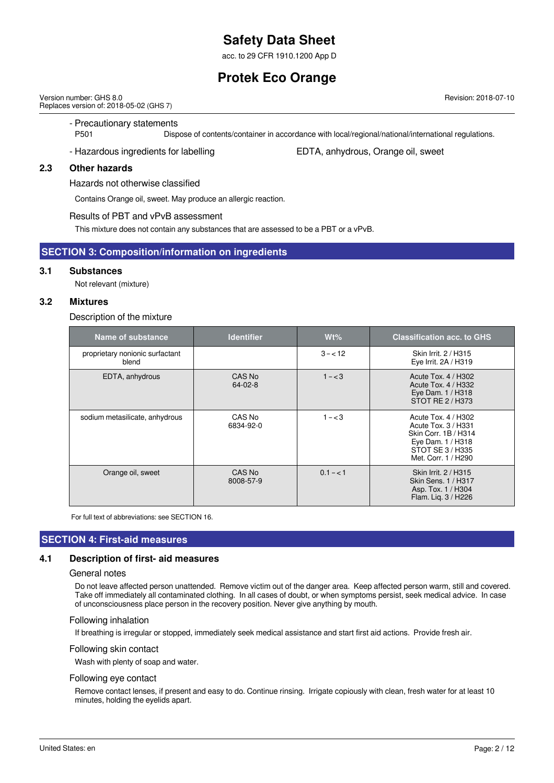acc. to 29 CFR 1910.1200 App D

## **Protek Eco Orange**

Version number: GHS 8.0 Replaces version of: 2018-05-02 (GHS 7)

- Precautionary statements

P501 Dispose of contents/container in accordance with local/regional/national/international regulations.

- Hazardous ingredients for labelling Fig. 5. EDTA, anhydrous, Orange oil, sweet

### **2.3 Other hazards**

Hazards not otherwise classified

Contains Orange oil, sweet. May produce an allergic reaction.

#### Results of PBT and vPvB assessment

This mixture does not contain any substances that are assessed to be a PBT or a vPvB.

#### **SECTION 3: Composition/information on ingredients**

#### **3.1 Substances**

Not relevant (mixture)

### **3.2 Mixtures**

#### Description of the mixture

| Name of substance                        | <b>Identifier</b>       | $Wt\%$    | <b>Classification acc. to GHS</b>                                                                                                  |
|------------------------------------------|-------------------------|-----------|------------------------------------------------------------------------------------------------------------------------------------|
| proprietary nonionic surfactant<br>blend |                         | $3 - 12$  | Skin Irrit. 2 / H315<br>Eye Irrit. 2A / H319                                                                                       |
| EDTA, anhydrous                          | CAS No<br>$64 - 02 - 8$ | $1 - < 3$ | Acute Tox. 4 / H302<br>Acute Tox. 4 / H332<br>Eye Dam. 1 / H318<br>STOT RE 2 / H373                                                |
| sodium metasilicate, anhydrous           | CAS No<br>6834-92-0     | $1 - < 3$ | Acute Tox. 4 / H302<br>Acute Tox, 3 / H331<br>Skin Corr. 1B / H314<br>Eye Dam. 1 / H318<br>STOT SE 3 / H335<br>Met. Corr. 1 / H290 |
| Orange oil, sweet                        | CAS No<br>8008-57-9     | $0.1 - 1$ | Skin Irrit. 2 / H315<br>Skin Sens, 1 / H317<br>Asp. Tox. 1 / H304<br>Flam. Lig. 3 / H226                                           |

For full text of abbreviations: see SECTION 16.

## **SECTION 4: First-aid measures**

#### **4.1 Description of first- aid measures**

#### General notes

Do not leave affected person unattended. Remove victim out of the danger area. Keep affected person warm, still and covered. Take off immediately all contaminated clothing. In all cases of doubt, or when symptoms persist, seek medical advice. In case of unconsciousness place person in the recovery position. Never give anything by mouth.

#### Following inhalation

If breathing is irregular or stopped, immediately seek medical assistance and start first aid actions. Provide fresh air.

#### Following skin contact

Wash with plenty of soap and water.

#### Following eye contact

Remove contact lenses, if present and easy to do. Continue rinsing. Irrigate copiously with clean, fresh water for at least 10 minutes, holding the eyelids apart.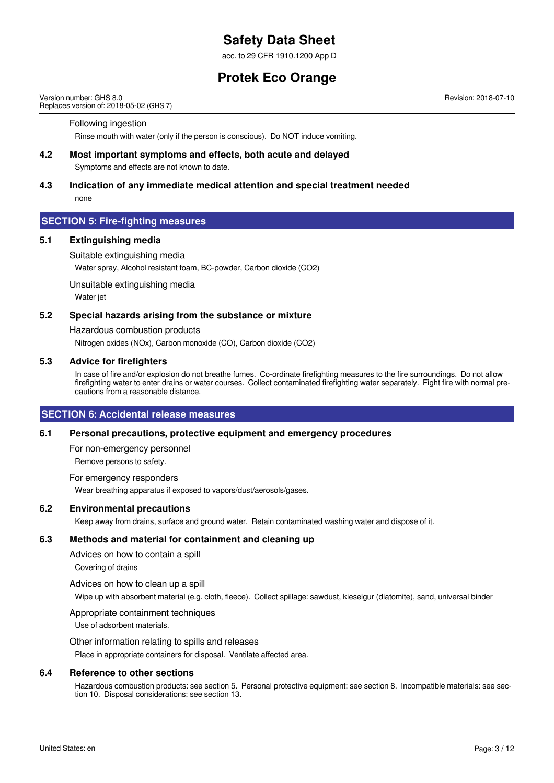acc. to 29 CFR 1910.1200 App D

## **Protek Eco Orange**

Version number: GHS 8.0 Replaces version of: 2018-05-02 (GHS 7)

### Following ingestion

Rinse mouth with water (only if the person is conscious). Do NOT induce vomiting.

#### **4.2 Most important symptoms and effects, both acute and delayed**

Symptoms and effects are not known to date.

#### **4.3 Indication of any immediate medical attention and special treatment needed** none

## **SECTION 5: Fire-fighting measures**

#### **5.1 Extinguishing media**

Suitable extinguishing media

Water spray, Alcohol resistant foam, BC-powder, Carbon dioxide (CO2)

Unsuitable extinguishing media Water jet

#### **5.2 Special hazards arising from the substance or mixture**

Hazardous combustion products

Nitrogen oxides (NOx), Carbon monoxide (CO), Carbon dioxide (CO2)

### **5.3 Advice for firefighters**

In case of fire and/or explosion do not breathe fumes. Co-ordinate firefighting measures to the fire surroundings. Do not allow firefighting water to enter drains or water courses. Collect contaminated firefighting water separately. Fight fire with normal precautions from a reasonable distance.

#### **SECTION 6: Accidental release measures**

#### **6.1 Personal precautions, protective equipment and emergency procedures**

For non-emergency personnel Remove persons to safety.

For emergency responders Wear breathing apparatus if exposed to vapors/dust/aerosols/gases.

#### **6.2 Environmental precautions**

Keep away from drains, surface and ground water. Retain contaminated washing water and dispose of it.

#### **6.3 Methods and material for containment and cleaning up**

Advices on how to contain a spill

Covering of drains

Advices on how to clean up a spill

Wipe up with absorbent material (e.g. cloth, fleece). Collect spillage: sawdust, kieselgur (diatomite), sand, universal binder

#### Appropriate containment techniques

Use of adsorbent materials.

Other information relating to spills and releases

Place in appropriate containers for disposal. Ventilate affected area.

#### **6.4 Reference to other sections**

Hazardous combustion products: see section 5. Personal protective equipment: see section 8. Incompatible materials: see section 10. Disposal considerations: see section 13.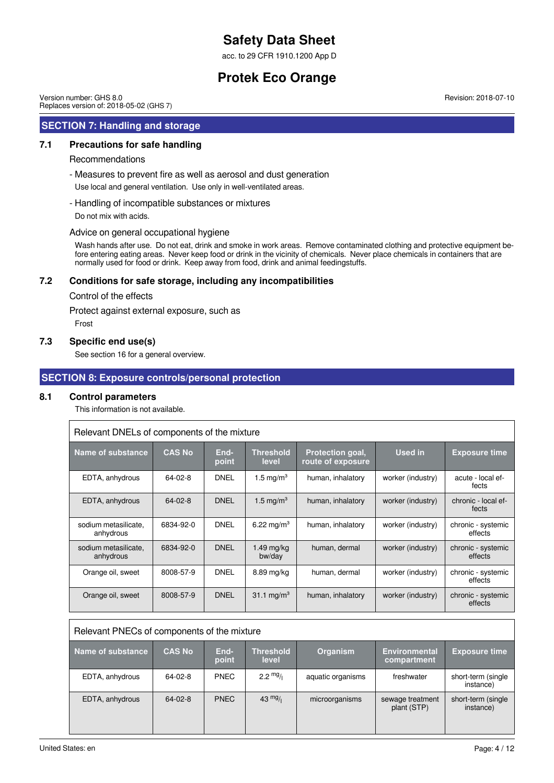acc. to 29 CFR 1910.1200 App D

## **Protek Eco Orange**

Version number: GHS 8.0 Replaces version of: 2018-05-02 (GHS 7)

### **SECTION 7: Handling and storage**

### **7.1 Precautions for safe handling**

#### Recommendations

- Measures to prevent fire as well as aerosol and dust generation

Use local and general ventilation. Use only in well-ventilated areas.

- Handling of incompatible substances or mixtures

Do not mix with acids.

#### Advice on general occupational hygiene

Wash hands after use. Do not eat, drink and smoke in work areas. Remove contaminated clothing and protective equipment before entering eating areas. Never keep food or drink in the vicinity of chemicals. Never place chemicals in containers that are normally used for food or drink. Keep away from food, drink and animal feedingstuffs.

### **7.2 Conditions for safe storage, including any incompatibilities**

Control of the effects

Protect against external exposure, such as

Frost

#### **7.3 Specific end use(s)**

See section 16 for a general overview.

### **SECTION 8: Exposure controls/personal protection**

#### **8.1 Control parameters**

This information is not available.

| Relevant DNELs of components of the mixture |               |               |                           |                                              |                   |                               |  |
|---------------------------------------------|---------------|---------------|---------------------------|----------------------------------------------|-------------------|-------------------------------|--|
| Name of substance                           | <b>CAS No</b> | End-<br>point | <b>Threshold</b><br>level | <b>Protection goal,</b><br>route of exposure | <b>Used in</b>    | <b>Exposure time</b>          |  |
| EDTA, anhydrous                             | 64-02-8       | <b>DNEL</b>   | 1.5 mg/m <sup>3</sup>     | human, inhalatory                            | worker (industry) | acute - local ef-<br>fects    |  |
| EDTA, anhydrous                             | $64 - 02 - 8$ | <b>DNEL</b>   | $1.5 \text{ mg/m}^3$      | human, inhalatory                            | worker (industry) | chronic - local ef-<br>fects  |  |
| sodium metasilicate.<br>anhydrous           | 6834-92-0     | <b>DNEL</b>   | 6.22 mg/m <sup>3</sup>    | human, inhalatory                            | worker (industry) | chronic - systemic<br>effects |  |
| sodium metasilicate,<br>anhydrous           | 6834-92-0     | <b>DNEL</b>   | 1.49 mg/kg<br>bw/day      | human, dermal                                | worker (industry) | chronic - systemic<br>effects |  |
| Orange oil, sweet                           | 8008-57-9     | <b>DNEL</b>   | 8.89 mg/kg                | human, dermal                                | worker (industry) | chronic - systemic<br>effects |  |
| Orange oil, sweet                           | 8008-57-9     | <b>DNEL</b>   | 31.1 mg/m <sup>3</sup>    | human, inhalatory                            | worker (industry) | chronic - systemic<br>effects |  |

| Relevant PNECs of components of the mixture |               |               |                           |                   |                                     |                                 |  |
|---------------------------------------------|---------------|---------------|---------------------------|-------------------|-------------------------------------|---------------------------------|--|
| Name of substance                           | <b>CAS No</b> | End-<br>point | <b>Threshold</b><br>level | Organism          | <b>Environmental</b><br>compartment | <b>Exposure time</b>            |  |
| EDTA, anhydrous                             | 64-02-8       | <b>PNEC</b>   | $2.2 \frac{mg}{l}$        | aquatic organisms | freshwater                          | short-term (single<br>instance) |  |
| EDTA, anhydrous                             | $64 - 02 - 8$ | <b>PNEC</b>   | $43 \frac{mg}{l}$         | microorganisms    | sewage treatment<br>plant (STP)     | short-term (single<br>instance) |  |

United States: en Page: 4 / 12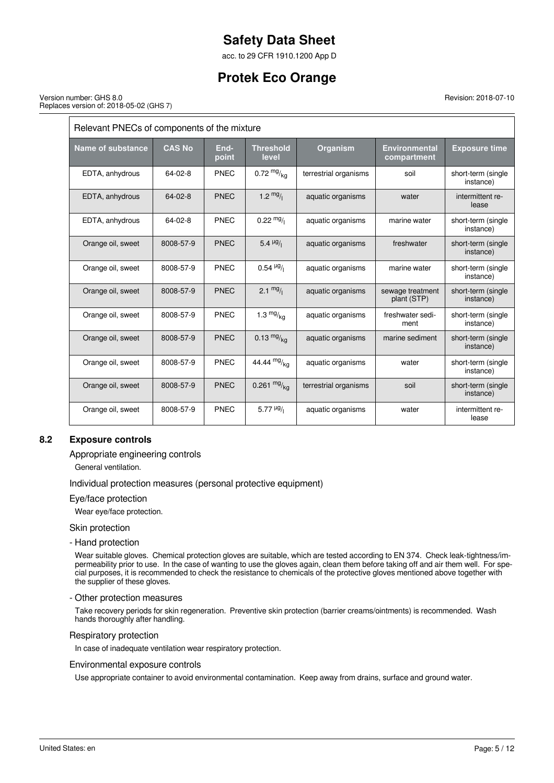acc. to 29 CFR 1910.1200 App D

## **Protek Eco Orange**

Revision: 2018-07-10

#### Version number: GHS 8.0 Replaces version of: 2018-05-02 (GHS 7)

 $\overline{r}$ 

| Relevant PNECs of components of the mixture |               |               |                                 |                       |                                     |                                 |  |
|---------------------------------------------|---------------|---------------|---------------------------------|-----------------------|-------------------------------------|---------------------------------|--|
| <b>Name of substance</b>                    | <b>CAS No</b> | End-<br>point | <b>Threshold</b><br>level       | <b>Organism</b>       | <b>Environmental</b><br>compartment | <b>Exposure time</b>            |  |
| EDTA, anhydrous                             | $64 - 02 - 8$ | PNEC          | $0.72 \frac{mg}{kg}$            | terrestrial organisms | soil                                | short-term (single<br>instance) |  |
| EDTA, anhydrous                             | $64 - 02 - 8$ | <b>PNEC</b>   | 1.2 $mg/$                       | aquatic organisms     | water                               | intermittent re-<br>lease       |  |
| EDTA, anhydrous                             | $64 - 02 - 8$ | <b>PNEC</b>   | $0.22 \frac{mg}{l}$             | aquatic organisms     | marine water                        | short-term (single<br>instance) |  |
| Orange oil, sweet                           | 8008-57-9     | <b>PNEC</b>   | 5.4 $\mu$ g/                    | aquatic organisms     | freshwater                          | short-term (single<br>instance) |  |
| Orange oil, sweet                           | 8008-57-9     | <b>PNEC</b>   | $0.54 \frac{\mu g}{\mu}$        | aquatic organisms     | marine water                        | short-term (single<br>instance) |  |
| Orange oil, sweet                           | 8008-57-9     | <b>PNEC</b>   | $2.1 \frac{mg}{l}$              | aquatic organisms     | sewage treatment<br>plant (STP)     | short-term (single<br>instance) |  |
| Orange oil, sweet                           | 8008-57-9     | PNEC          | $1.3 \frac{mg}{kg}$             | aquatic organisms     | freshwater sedi-<br>ment            | short-term (single<br>instance) |  |
| Orange oil, sweet                           | 8008-57-9     | <b>PNEC</b>   | $0.13 \frac{mg}{ka}$            | aquatic organisms     | marine sediment                     | short-term (single<br>instance) |  |
| Orange oil, sweet                           | 8008-57-9     | <b>PNEC</b>   | 44.44 $mg/kq$                   | aquatic organisms     | water                               | short-term (single<br>instance) |  |
| Orange oil, sweet                           | 8008-57-9     | <b>PNEC</b>   | 0.261 $mg/kq$                   | terrestrial organisms | soil                                | short-term (single<br>instance) |  |
| Orange oil, sweet                           | 8008-57-9     | <b>PNEC</b>   | 5.77 $\mu$ <sup>g</sup> / $\mu$ | aquatic organisms     | water                               | intermittent re-<br>lease       |  |

### **8.2 Exposure controls**

Appropriate engineering controls

General ventilation.

Individual protection measures (personal protective equipment)

Eye/face protection

Wear eye/face protection.

Skin protection

- Hand protection

Wear suitable gloves. Chemical protection gloves are suitable, which are tested according to EN 374. Check leak-tightness/impermeability prior to use. In the case of wanting to use the gloves again, clean them before taking off and air them well. For special purposes, it is recommended to check the resistance to chemicals of the protective gloves mentioned above together with the supplier of these gloves.

- Other protection measures

Take recovery periods for skin regeneration. Preventive skin protection (barrier creams/ointments) is recommended. Wash hands thoroughly after handling.

Respiratory protection

In case of inadequate ventilation wear respiratory protection.

#### Environmental exposure controls

Use appropriate container to avoid environmental contamination. Keep away from drains, surface and ground water.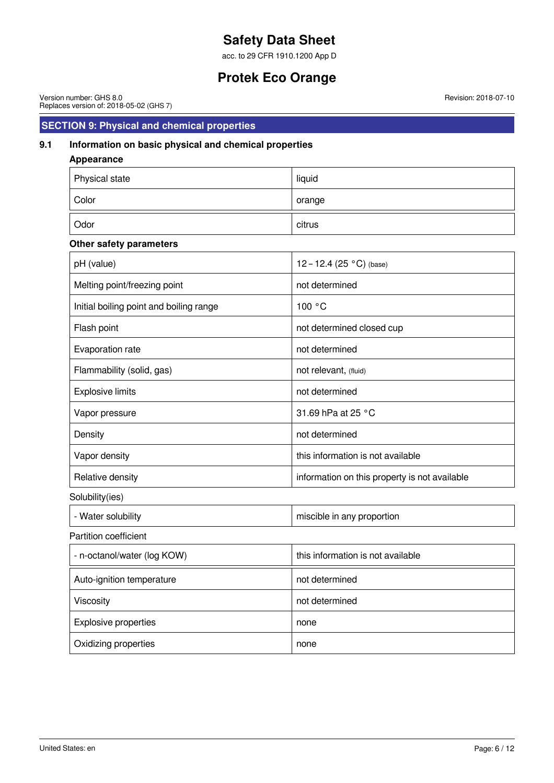acc. to 29 CFR 1910.1200 App D

## **Protek Eco Orange**

Version number: GHS 8.0 Replaces version of: 2018-05-02 (GHS 7)

## **SECTION 9: Physical and chemical properties**

## **9.1 Information on basic physical and chemical properties**

| <b>Appearance</b>                       |                                               |
|-----------------------------------------|-----------------------------------------------|
| Physical state                          | liquid                                        |
| Color                                   | orange                                        |
| Odor                                    | citrus                                        |
| Other safety parameters                 |                                               |
| pH (value)                              | 12-12.4 (25 °C) (base)                        |
| Melting point/freezing point            | not determined                                |
| Initial boiling point and boiling range | 100 °C                                        |
| Flash point                             | not determined closed cup                     |
| Evaporation rate                        | not determined                                |
| Flammability (solid, gas)               | not relevant, (fluid)                         |
| <b>Explosive limits</b>                 | not determined                                |
| Vapor pressure                          | 31.69 hPa at 25 °C                            |
| Density                                 | not determined                                |
| Vapor density                           | this information is not available             |
| Relative density                        | information on this property is not available |
| Solubility(ies)                         |                                               |
| - Water solubility                      | miscible in any proportion                    |
| Partition coefficient                   |                                               |
| - n-octanol/water (log KOW)             | this information is not available             |
| Auto-ignition temperature               | not determined                                |
| Viscosity                               | not determined                                |
| <b>Explosive properties</b>             | none                                          |
| Oxidizing properties                    | none                                          |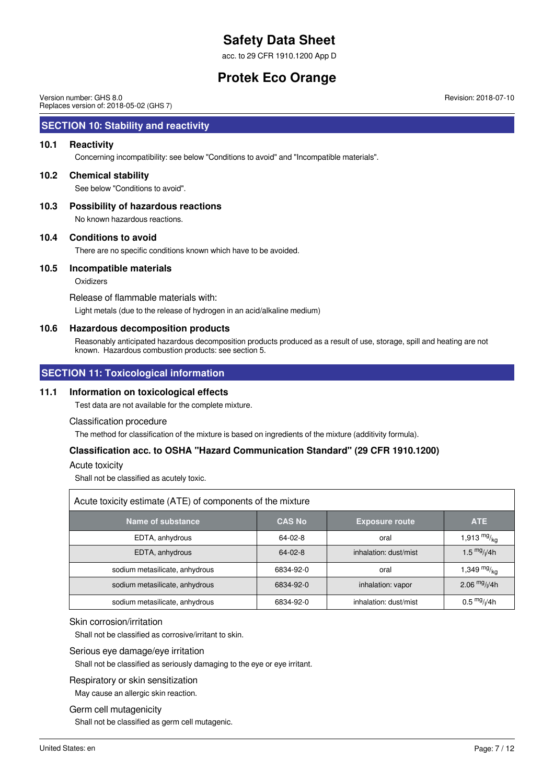acc. to 29 CFR 1910.1200 App D

## **Protek Eco Orange**

Version number: GHS 8.0 Replaces version of: 2018-05-02 (GHS 7)

## **SECTION 10: Stability and reactivity**

#### **10.1 Reactivity**

Concerning incompatibility: see below "Conditions to avoid" and "Incompatible materials".

#### **10.2 Chemical stability**

See below "Conditions to avoid".

**10.3 Possibility of hazardous reactions** No known hazardous reactions.

#### **10.4 Conditions to avoid**

There are no specific conditions known which have to be avoided.

#### **10.5 Incompatible materials**

**Oxidizers** 

Release of flammable materials with: Light metals (due to the release of hydrogen in an acid/alkaline medium)

#### **10.6 Hazardous decomposition products**

Reasonably anticipated hazardous decomposition products produced as a result of use, storage, spill and heating are not known. Hazardous combustion products: see section 5.

## **SECTION 11: Toxicological information**

#### **11.1 Information on toxicological effects**

Test data are not available for the complete mixture.

#### Classification procedure

The method for classification of the mixture is based on ingredients of the mixture (additivity formula).

#### **Classification acc. to OSHA "Hazard Communication Standard" (29 CFR 1910.1200)**

#### Acute toxicity

Shall not be classified as acutely toxic.

| Acute toxicity estimate (ATE) of components of the mixture |               |                       |                         |  |  |  |  |
|------------------------------------------------------------|---------------|-----------------------|-------------------------|--|--|--|--|
| Name of substance                                          | <b>CAS No</b> | <b>Exposure route</b> | <b>ATE</b>              |  |  |  |  |
| EDTA, anhydrous                                            | 64-02-8       | oral                  | 1,913 $mg/_{kg}$        |  |  |  |  |
| EDTA, anhydrous                                            | $64 - 02 - 8$ | inhalation: dust/mist | 1.5 $mg/1/4h$           |  |  |  |  |
| sodium metasilicate, anhydrous                             | 6834-92-0     | oral                  | 1,349 $mg/_{kg}$        |  |  |  |  |
| sodium metasilicate, anhydrous                             | 6834-92-0     | inhalation: vapor     | 2.06 $mg/1/4h$          |  |  |  |  |
| sodium metasilicate, anhydrous                             | 6834-92-0     | inhalation: dust/mist | $0.5 \frac{mg}{l}$ //4h |  |  |  |  |

#### Skin corrosion/irritation

Shall not be classified as corrosive/irritant to skin.

#### Serious eye damage/eye irritation

Shall not be classified as seriously damaging to the eye or eye irritant.

#### Respiratory or skin sensitization

May cause an allergic skin reaction.

#### Germ cell mutagenicity

Shall not be classified as germ cell mutagenic.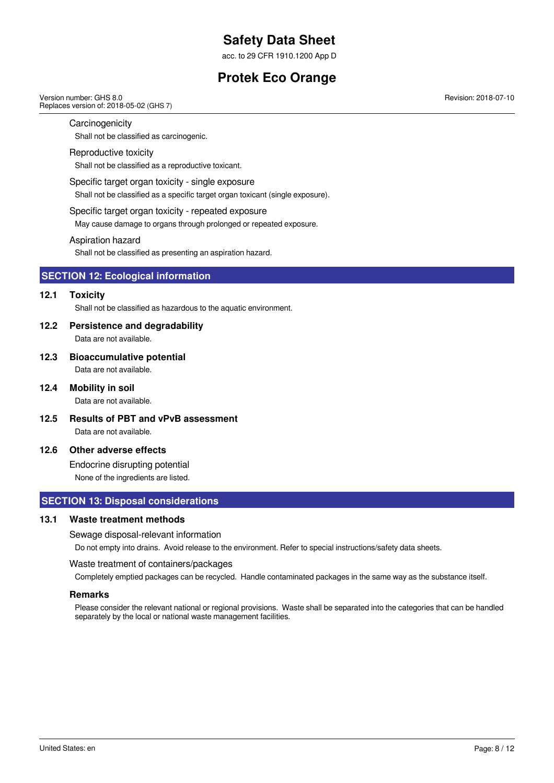acc. to 29 CFR 1910.1200 App D

## **Protek Eco Orange**

#### Version number: GHS 8.0 Replaces version of: 2018-05-02 (GHS 7)

Revision: 2018-07-10

#### **Carcinogenicity**

Shall not be classified as carcinogenic.

#### Reproductive toxicity

Shall not be classified as a reproductive toxicant.

Specific target organ toxicity - single exposure

Shall not be classified as a specific target organ toxicant (single exposure).

#### Specific target organ toxicity - repeated exposure

May cause damage to organs through prolonged or repeated exposure.

#### Aspiration hazard

Shall not be classified as presenting an aspiration hazard.

### **SECTION 12: Ecological information**

#### **12.1 Toxicity**

Shall not be classified as hazardous to the aquatic environment.

#### **12.2 Persistence and degradability**

Data are not available.

- **12.3 Bioaccumulative potential** Data are not available.
- **12.4 Mobility in soil**

Data are not available.

**12.5 Results of PBT and vPvB assessment** Data are not available.

#### **12.6 Other adverse effects**

Endocrine disrupting potential None of the ingredients are listed.

### **SECTION 13: Disposal considerations**

#### **13.1 Waste treatment methods**

#### Sewage disposal-relevant information

Do not empty into drains. Avoid release to the environment. Refer to special instructions/safety data sheets.

#### Waste treatment of containers/packages

Completely emptied packages can be recycled. Handle contaminated packages in the same way as the substance itself.

#### **Remarks**

Please consider the relevant national or regional provisions. Waste shall be separated into the categories that can be handled separately by the local or national waste management facilities.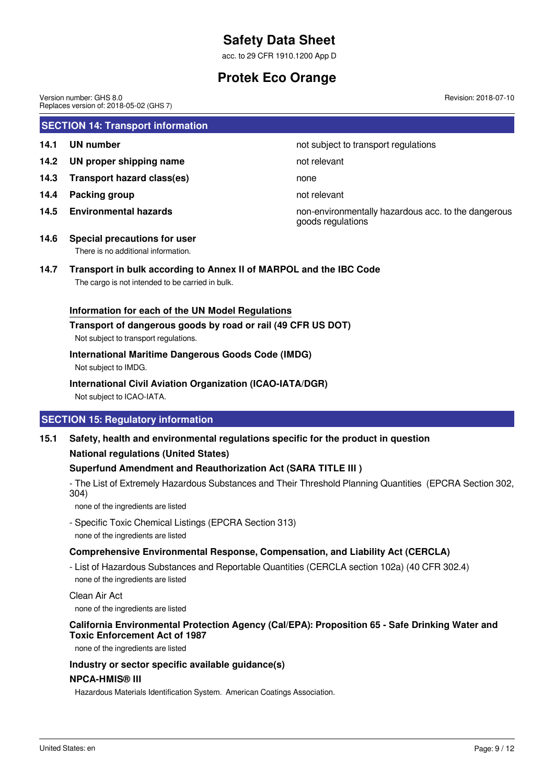acc. to 29 CFR 1910.1200 App D

## **Protek Eco Orange**

**SECTION 14: Transport information 14.1 UN number 14.1 UN** number **14.2 UN proper shipping name** not relevant **14.3 Transport hazard class(es)** none **14.4 Packing group not relevant 14.5 Environmental hazards** non-environmentally hazardous acc. to the dangerous goods regulations **14.6 Special precautions for user** Version number: GHS 8.0 Replaces version of: 2018-05-02 (GHS 7) Revision: 2018-07-10

# There is no additional information.

## **14.7 Transport in bulk according to Annex II of MARPOL and the IBC Code**

The cargo is not intended to be carried in bulk.

## **Information for each of the UN Model Regulations**

## **Transport of dangerous goods by road or rail (49 CFR US DOT)**

Not subject to transport regulations.

## **International Maritime Dangerous Goods Code (IMDG)**

Not subject to IMDG.

## **International Civil Aviation Organization (ICAO-IATA/DGR)**

Not subject to ICAO-IATA.

## **SECTION 15: Regulatory information**

## **15.1 Safety, health and environmental regulations specific for the product in question National regulations (United States)**

## **Superfund Amendment and Reauthorization Act (SARA TITLE III )**

- The List of Extremely Hazardous Substances and Their Threshold Planning Quantities (EPCRA Section 302, 304)

none of the ingredients are listed

- Specific Toxic Chemical Listings (EPCRA Section 313) none of the ingredients are listed

## **Comprehensive Environmental Response, Compensation, and Liability Act (CERCLA)**

- List of Hazardous Substances and Reportable Quantities (CERCLA section 102a) (40 CFR 302.4) none of the ingredients are listed

Clean Air Act

none of the ingredients are listed

## **California Environmental Protection Agency (Cal/EPA): Proposition 65 - Safe Drinking Water and Toxic Enforcement Act of 1987**

none of the ingredients are listed

### **Industry or sector specific available guidance(s)**

### **NPCA-HMIS® III**

Hazardous Materials Identification System. American Coatings Association.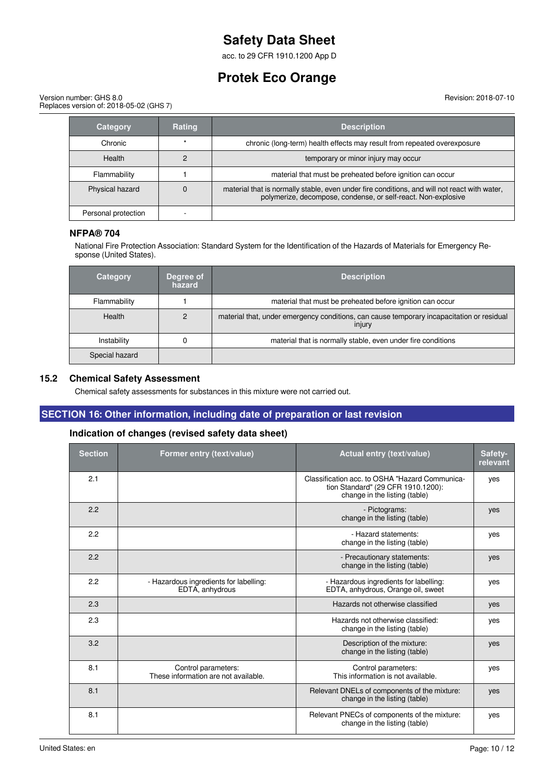acc. to 29 CFR 1910.1200 App D

## **Protek Eco Orange**

Version number: GHS 8.0 Replaces version of: 2018-05-02 (GHS 7) Revision: 2018-07-10

| Category            | <b>Rating</b> | <b>Description</b>                                                                                                                                            |
|---------------------|---------------|---------------------------------------------------------------------------------------------------------------------------------------------------------------|
| Chronic             |               | chronic (long-term) health effects may result from repeated overexposure                                                                                      |
| <b>Health</b>       |               | temporary or minor injury may occur                                                                                                                           |
| Flammability        |               | material that must be preheated before ignition can occur                                                                                                     |
| Physical hazard     |               | material that is normally stable, even under fire conditions, and will not react with water,<br>polymerize, decompose, condense, or self-react. Non-explosive |
| Personal protection |               |                                                                                                                                                               |

### **NFPA® 704**

National Fire Protection Association: Standard System for the Identification of the Hazards of Materials for Emergency Response (United States).

| Category       | Degree of<br>hazard | <b>Description</b>                                                                                  |
|----------------|---------------------|-----------------------------------------------------------------------------------------------------|
| Flammability   |                     | material that must be preheated before ignition can occur                                           |
| <b>Health</b>  |                     | material that, under emergency conditions, can cause temporary incapacitation or residual<br>injury |
| Instability    |                     | material that is normally stable, even under fire conditions                                        |
| Special hazard |                     |                                                                                                     |

#### **15.2 Chemical Safety Assessment**

Chemical safety assessments for substances in this mixture were not carried out.

## **SECTION 16: Other information, including date of preparation or last revision**

## **Indication of changes (revised safety data sheet)**

| <b>Section</b> | Former entry (text/value)                                   | Actual entry (text/value)                                                                                             | Safety-<br>relevant |
|----------------|-------------------------------------------------------------|-----------------------------------------------------------------------------------------------------------------------|---------------------|
| 2.1            |                                                             | Classification acc. to OSHA "Hazard Communica-<br>tion Standard" (29 CFR 1910.1200):<br>change in the listing (table) | yes                 |
| 2.2            |                                                             | - Pictograms:<br>change in the listing (table)                                                                        | yes                 |
| 2.2            |                                                             | - Hazard statements:<br>change in the listing (table)                                                                 | yes                 |
| 2.2            |                                                             | - Precautionary statements:<br>change in the listing (table)                                                          | yes                 |
| 2.2            | - Hazardous ingredients for labelling:<br>EDTA, anhydrous   | - Hazardous ingredients for labelling:<br>EDTA, anhydrous, Orange oil, sweet                                          | yes                 |
| 2.3            |                                                             | Hazards not otherwise classified                                                                                      | yes                 |
| 2.3            |                                                             | Hazards not otherwise classified:<br>change in the listing (table)                                                    | yes                 |
| 3.2            |                                                             | Description of the mixture:<br>change in the listing (table)                                                          | yes                 |
| 8.1            | Control parameters:<br>These information are not available. | Control parameters:<br>This information is not available.                                                             | yes                 |
| 8.1            |                                                             | Relevant DNELs of components of the mixture:<br>change in the listing (table)                                         | yes                 |
| 8.1            |                                                             | Relevant PNECs of components of the mixture:<br>change in the listing (table)                                         | ves                 |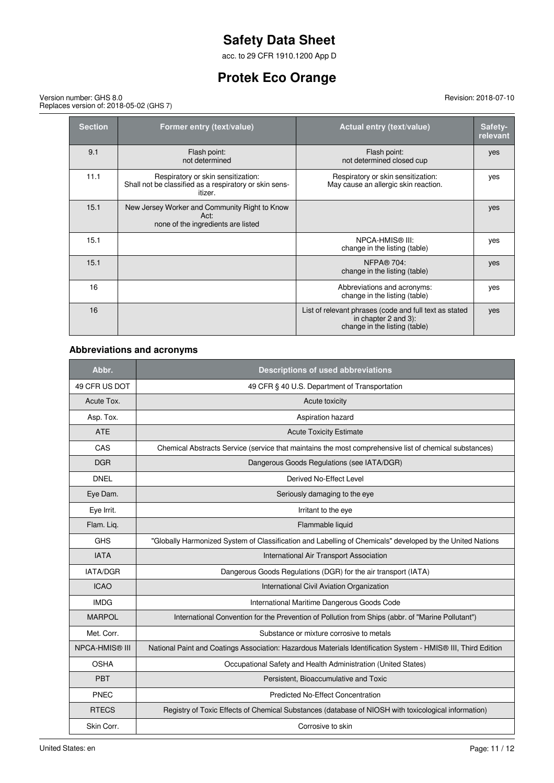acc. to 29 CFR 1910.1200 App D

## **Protek Eco Orange**

Version number: GHS 8.0 Replaces version of: 2018-05-02 (GHS 7)

| <b>Section</b> | Former entry (text/value)                                                                               | <b>Actual entry (text/value)</b>                                                                                | Safety-<br>relevant |
|----------------|---------------------------------------------------------------------------------------------------------|-----------------------------------------------------------------------------------------------------------------|---------------------|
| 9.1            | Flash point:<br>not determined                                                                          | Flash point:<br>not determined closed cup                                                                       | yes                 |
| 11.1           | Respiratory or skin sensitization:<br>Shall not be classified as a respiratory or skin sens-<br>itizer. | Respiratory or skin sensitization:<br>May cause an allergic skin reaction.                                      | yes                 |
| 15.1           | New Jersey Worker and Community Right to Know<br>Act:<br>none of the ingredients are listed             |                                                                                                                 | yes                 |
| 15.1           |                                                                                                         | NPCA-HMIS® III:<br>change in the listing (table)                                                                | yes                 |
| 15.1           |                                                                                                         | <b>NFPA® 704:</b><br>change in the listing (table)                                                              | yes                 |
| 16             |                                                                                                         | Abbreviations and acronyms:<br>change in the listing (table)                                                    | yes                 |
| 16             |                                                                                                         | List of relevant phrases (code and full text as stated<br>in chapter 2 and 3):<br>change in the listing (table) | yes                 |

## **Abbreviations and acronyms**

| Abbr.                 | <b>Descriptions of used abbreviations</b>                                                                     |
|-----------------------|---------------------------------------------------------------------------------------------------------------|
| 49 CFR US DOT         | 49 CFR § 40 U.S. Department of Transportation                                                                 |
| Acute Tox.            | Acute toxicity                                                                                                |
| Asp. Tox.             | Aspiration hazard                                                                                             |
| <b>ATE</b>            | <b>Acute Toxicity Estimate</b>                                                                                |
| CAS                   | Chemical Abstracts Service (service that maintains the most comprehensive list of chemical substances)        |
| <b>DGR</b>            | Dangerous Goods Regulations (see IATA/DGR)                                                                    |
| <b>DNEL</b>           | Derived No-Effect Level                                                                                       |
| Eye Dam.              | Seriously damaging to the eye                                                                                 |
| Eye Irrit.            | Irritant to the eye                                                                                           |
| Flam. Liq.            | Flammable liquid                                                                                              |
| <b>GHS</b>            | "Globally Harmonized System of Classification and Labelling of Chemicals" developed by the United Nations     |
| <b>IATA</b>           | International Air Transport Association                                                                       |
| <b>IATA/DGR</b>       | Dangerous Goods Regulations (DGR) for the air transport (IATA)                                                |
| <b>ICAO</b>           | International Civil Aviation Organization                                                                     |
| <b>IMDG</b>           | International Maritime Dangerous Goods Code                                                                   |
| <b>MARPOL</b>         | International Convention for the Prevention of Pollution from Ships (abbr. of "Marine Pollutant")             |
| Met. Corr.            | Substance or mixture corrosive to metals                                                                      |
| <b>NPCA-HMIS® III</b> | National Paint and Coatings Association: Hazardous Materials Identification System - HMIS® III, Third Edition |
| <b>OSHA</b>           | Occupational Safety and Health Administration (United States)                                                 |
| PBT                   | Persistent, Bioaccumulative and Toxic                                                                         |
| PNEC                  | <b>Predicted No-Effect Concentration</b>                                                                      |
| <b>RTECS</b>          | Registry of Toxic Effects of Chemical Substances (database of NIOSH with toxicological information)           |
| Skin Corr.            | Corrosive to skin                                                                                             |